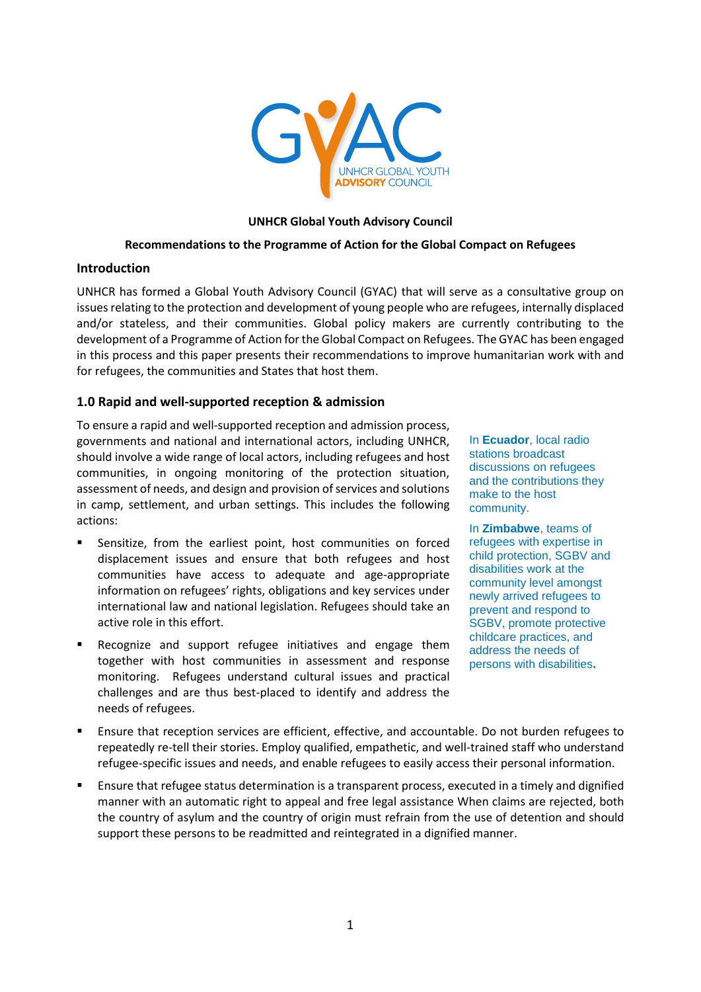

### **UNHCR Global Youth Advisory Council**

### **Recommendations to the Programme of Action for the Global Compact on Refugees**

#### **Introduction**

UNHCR has formed a Global Youth Advisory Council (GYAC) that will serve as a consultative group on issues relating to the protection and development of young people who are refugees, internally displaced and/or stateless, and their communities. Global policy makers are currently contributing to the development of a Programme of Action for the Global Compact on Refugees. The GYAC has been engaged in this process and this paper presents their recommendations to improve humanitarian work with and for refugees, the communities and States that host them.

## **1.0 Rapid and well-supported reception & admission**

To ensure a rapid and well-supported reception and admission process, governments and national and international actors, including UNHCR, should involve a wide range of local actors, including refugees and host communities, in ongoing monitoring of the protection situation, assessment of needs, and design and provision of services and solutions in camp, settlement, and urban settings. This includes the following actions:

- Sensitize, from the earliest point, host communities on forced displacement issues and ensure that both refugees and host communities have access to adequate and age-appropriate information on refugees' rights, obligations and key services under international law and national legislation. Refugees should take an active role in this effort.
- Recognize and support refugee initiatives and engage them together with host communities in assessment and response monitoring. Refugees understand cultural issues and practical challenges and are thus best-placed to identify and address the needs of refugees.

In **Ecuador**, local radio stations broadcast discussions on refugees and the contributions they make to the host community.

In **Zimbabwe**, teams of refugees with expertise in child protection, SGBV and disabilities work at the community level amongst newly arrived refugees to prevent and respond to SGBV, promote protective childcare practices, and address the needs of persons with disabilities**.** 

- Ensure that reception services are efficient, effective, and accountable. Do not burden refugees to repeatedly re-tell their stories. Employ qualified, empathetic, and well-trained staff who understand refugee-specific issues and needs, and enable refugees to easily access their personal information.
- Ensure that refugee status determination is a transparent process, executed in a timely and dignified manner with an automatic right to appeal and free legal assistance When claims are rejected, both the country of asylum and the country of origin must refrain from the use of detention and should support these persons to be readmitted and reintegrated in a dignified manner.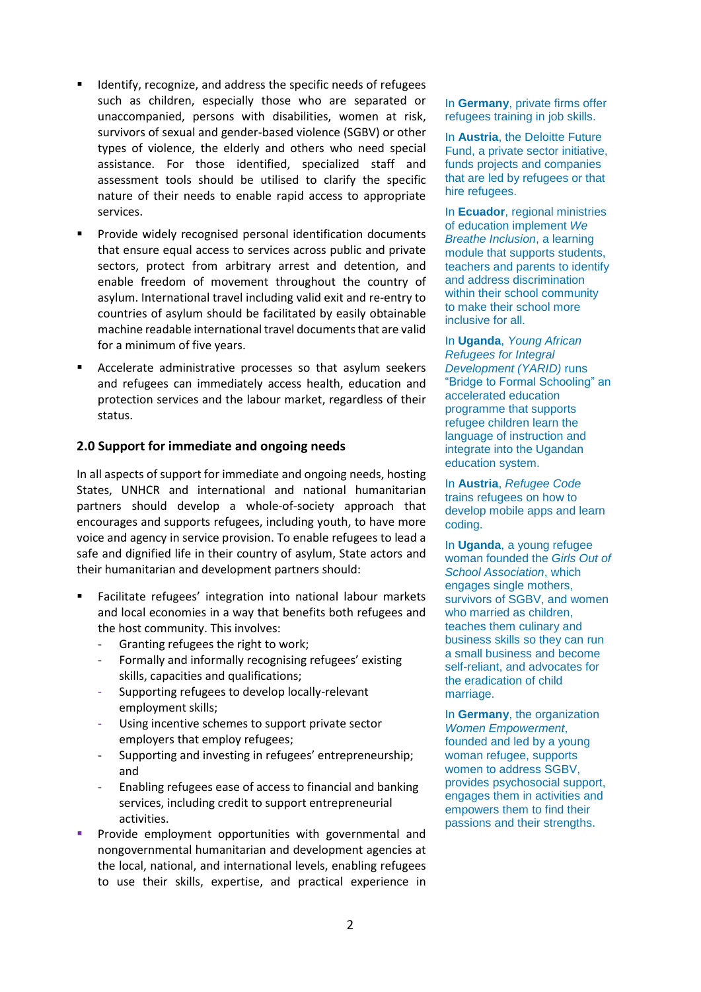- Identify, recognize, and address the specific needs of refugees such as children, especially those who are separated or unaccompanied, persons with disabilities, women at risk, survivors of sexual and gender-based violence (SGBV) or other types of violence, the elderly and others who need special assistance. For those identified, specialized staff and assessment tools should be utilised to clarify the specific nature of their needs to enable rapid access to appropriate services.
- Provide widely recognised personal identification documents that ensure equal access to services across public and private sectors, protect from arbitrary arrest and detention, and enable freedom of movement throughout the country of asylum. International travel including valid exit and re-entry to countries of asylum should be facilitated by easily obtainable machine readable international travel documents that are valid for a minimum of five years.
- Accelerate administrative processes so that asylum seekers and refugees can immediately access health, education and protection services and the labour market, regardless of their status.

## **2.0 Support for immediate and ongoing needs**

In all aspects of support for immediate and ongoing needs, hosting States, UNHCR and international and national humanitarian partners should develop a whole-of-society approach that encourages and supports refugees, including youth, to have more voice and agency in service provision. To enable refugees to lead a safe and dignified life in their country of asylum, State actors and their humanitarian and development partners should:

- Facilitate refugees' integration into national labour markets and local economies in a way that benefits both refugees and the host community. This involves:
	- Granting refugees the right to work;
	- Formally and informally recognising refugees' existing skills, capacities and qualifications;
	- Supporting refugees to develop locally-relevant employment skills;
	- Using incentive schemes to support private sector employers that employ refugees;
	- Supporting and investing in refugees' entrepreneurship; and
	- Enabling refugees ease of access to financial and banking services, including credit to support entrepreneurial activities.
- Provide employment opportunities with governmental and nongovernmental humanitarian and development agencies at the local, national, and international levels, enabling refugees to use their skills, expertise, and practical experience in

#### In **Germany**, private firms offer refugees training in job skills.

In **Austria**, the Deloitte Future Fund, a private sector initiative, funds projects and companies that are led by refugees or that hire refugees.

In **Ecuador**, regional ministries of education implement *We Breathe Inclusion*, a learning module that supports students, teachers and parents to identify and address discrimination within their school community to make their school more inclusive for all.

In **Uganda**, *Young African Refugees for Integral Development (YARID)* runs "Bridge to Formal Schooling" an accelerated education programme that supports refugee children learn the language of instruction and integrate into the Ugandan education system.

In **Austria**, *Refugee Code* trains refugees on how to develop mobile apps and learn coding.

In **Uganda**, a young refugee woman founded the *Girls Out of School Association*, which engages single mothers, survivors of SGBV, and women who married as children. teaches them culinary and business skills so they can run a small business and become self-reliant, and advocates for the eradication of child marriage.

In **Germany**, the organization *Women Empowerment*, founded and led by a young woman refugee, supports women to address SGBV, provides psychosocial support, engages them in activities and empowers them to find their passions and their strengths.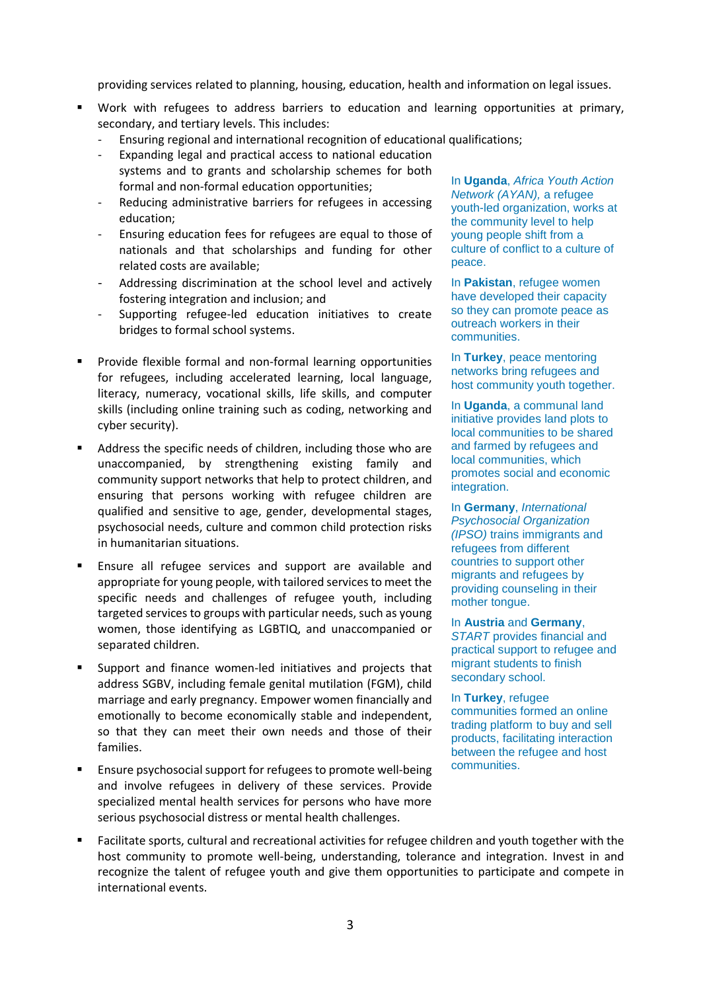providing services related to planning, housing, education, health and information on legal issues.

- Work with refugees to address barriers to education and learning opportunities at primary, secondary, and tertiary levels. This includes:
	- Ensuring regional and international recognition of educational qualifications;
	- Expanding legal and practical access to national education systems and to grants and scholarship schemes for both formal and non-formal education opportunities;
	- Reducing administrative barriers for refugees in accessing education;
	- Ensuring education fees for refugees are equal to those of nationals and that scholarships and funding for other related costs are available;
	- Addressing discrimination at the school level and actively fostering integration and inclusion; and
	- Supporting refugee-led education initiatives to create bridges to formal school systems.
- Provide flexible formal and non-formal learning opportunities for refugees, including accelerated learning, local language, literacy, numeracy, vocational skills, life skills, and computer skills (including online training such as coding, networking and cyber security).
- Address the specific needs of children, including those who are unaccompanied, by strengthening existing family and community support networks that help to protect children, and ensuring that persons working with refugee children are qualified and sensitive to age, gender, developmental stages, psychosocial needs, culture and common child protection risks in humanitarian situations.
- Ensure all refugee services and support are available and appropriate for young people, with tailored services to meet the specific needs and challenges of refugee youth, including targeted services to groups with particular needs, such as young women, those identifying as LGBTIQ, and unaccompanied or separated children.
- Support and finance women-led initiatives and projects that address SGBV, including female genital mutilation (FGM), child marriage and early pregnancy. Empower women financially and emotionally to become economically stable and independent, so that they can meet their own needs and those of their families.
- Ensure psychosocial support for refugeesto promote well-being and involve refugees in delivery of these services. Provide specialized mental health services for persons who have more serious psychosocial distress or mental health challenges.

In **Uganda**, *Africa Youth Action Network (AYAN),* a refugee youth-led organization, works at the community level to help young people shift from a culture of conflict to a culture of peace.

In **Pakistan**, refugee women have developed their capacity so they can promote peace as outreach workers in their communities.

In **Turkey**, peace mentoring networks bring refugees and host community youth together.

In **Uganda**, a communal land initiative provides land plots to local communities to be shared and farmed by refugees and local communities, which promotes social and economic integration.

In **Germany**, *International Psychosocial Organization (IPSO)* trains immigrants and refugees from different countries to support other migrants and refugees by providing counseling in their mother tongue.

In **Austria** and **Germany**, *START* provides financial and practical support to refugee and migrant students to finish secondary school.

In **Turkey**, refugee communities formed an online trading platform to buy and sell products, facilitating interaction between the refugee and host communities.

 Facilitate sports, cultural and recreational activities for refugee children and youth together with the host community to promote well-being, understanding, tolerance and integration. Invest in and recognize the talent of refugee youth and give them opportunities to participate and compete in international events.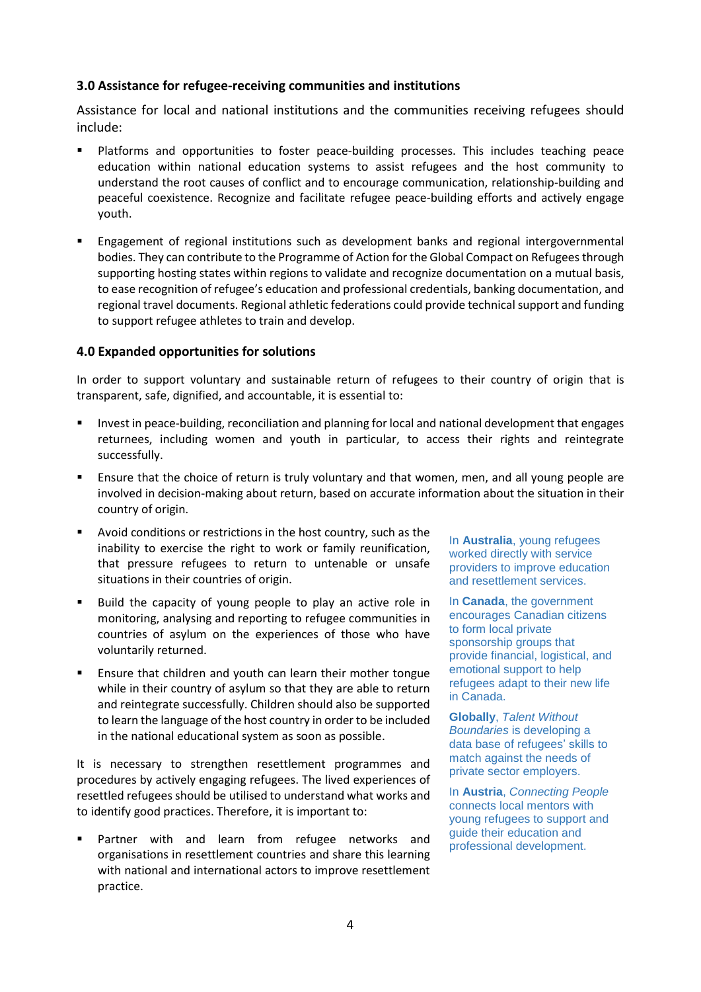# **3.0 Assistance for refugee-receiving communities and institutions**

Assistance for local and national institutions and the communities receiving refugees should include:

- Platforms and opportunities to foster peace-building processes. This includes teaching peace education within national education systems to assist refugees and the host community to understand the root causes of conflict and to encourage communication, relationship-building and peaceful coexistence. Recognize and facilitate refugee peace-building efforts and actively engage youth.
- Engagement of regional institutions such as development banks and regional intergovernmental bodies. They can contribute to the Programme of Action for the Global Compact on Refugees through supporting hosting states within regions to validate and recognize documentation on a mutual basis, to ease recognition of refugee's education and professional credentials, banking documentation, and regional travel documents. Regional athletic federations could provide technical support and funding to support refugee athletes to train and develop.

## **4.0 Expanded opportunities for solutions**

In order to support voluntary and sustainable return of refugees to their country of origin that is transparent, safe, dignified, and accountable, it is essential to:

- Invest in peace-building, reconciliation and planning for local and national development that engages returnees, including women and youth in particular, to access their rights and reintegrate successfully.
- **E** Ensure that the choice of return is truly voluntary and that women, men, and all young people are involved in decision-making about return, based on accurate information about the situation in their country of origin.
- Avoid conditions or restrictions in the host country, such as the inability to exercise the right to work or family reunification, that pressure refugees to return to untenable or unsafe situations in their countries of origin.
- Build the capacity of young people to play an active role in monitoring, analysing and reporting to refugee communities in countries of asylum on the experiences of those who have voluntarily returned.
- Ensure that children and youth can learn their mother tongue while in their country of asylum so that they are able to return and reintegrate successfully. Children should also be supported to learn the language of the host country in order to be included in the national educational system as soon as possible.

It is necessary to strengthen resettlement programmes and procedures by actively engaging refugees. The lived experiences of resettled refugees should be utilised to understand what works and to identify good practices. Therefore, it is important to:

 Partner with and learn from refugee networks and organisations in resettlement countries and share this learning with national and international actors to improve resettlement practice.

In **Australia**, young refugees worked directly with service providers to improve education and resettlement services.

In **Canada**, the government encourages Canadian citizens to form local private sponsorship groups that provide financial, logistical, and emotional support to help refugees adapt to their new life in Canada.

**Globally**, *Talent Without Boundaries* is developing a data base of refugees' skills to match against the needs of private sector employers.

In **Austria**, *Connecting People* connects local mentors with young refugees to support and guide their education and professional development.